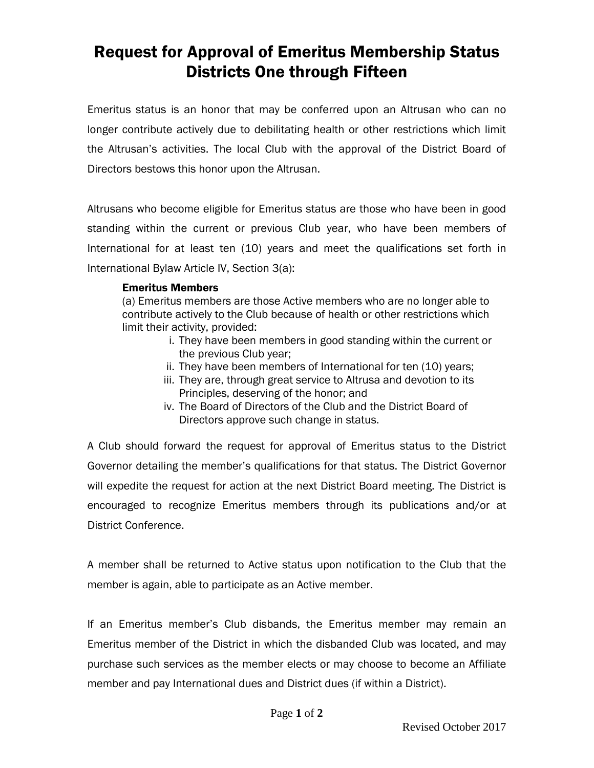## Request for Approval of Emeritus Membership Status Districts One through Fifteen

Emeritus status is an honor that may be conferred upon an Altrusan who can no longer contribute actively due to debilitating health or other restrictions which limit the Altrusan's activities. The local Club with the approval of the District Board of Directors bestows this honor upon the Altrusan.

Altrusans who become eligible for Emeritus status are those who have been in good standing within the current or previous Club year, who have been members of International for at least ten (10) years and meet the qualifications set forth in International Bylaw Article IV, Section 3(a):

## Emeritus Members

(a) Emeritus members are those Active members who are no longer able to contribute actively to the Club because of health or other restrictions which limit their activity, provided:

- i. They have been members in good standing within the current or the previous Club year;
- ii. They have been members of International for ten (10) years;
- iii. They are, through great service to Altrusa and devotion to its Principles, deserving of the honor; and
- iv. The Board of Directors of the Club and the District Board of Directors approve such change in status.

A Club should forward the request for approval of Emeritus status to the District Governor detailing the member's qualifications for that status. The District Governor will expedite the request for action at the next District Board meeting. The District is encouraged to recognize Emeritus members through its publications and/or at District Conference.

A member shall be returned to Active status upon notification to the Club that the member is again, able to participate as an Active member.

If an Emeritus member's Club disbands, the Emeritus member may remain an Emeritus member of the District in which the disbanded Club was located, and may purchase such services as the member elects or may choose to become an Affiliate member and pay International dues and District dues (if within a District).